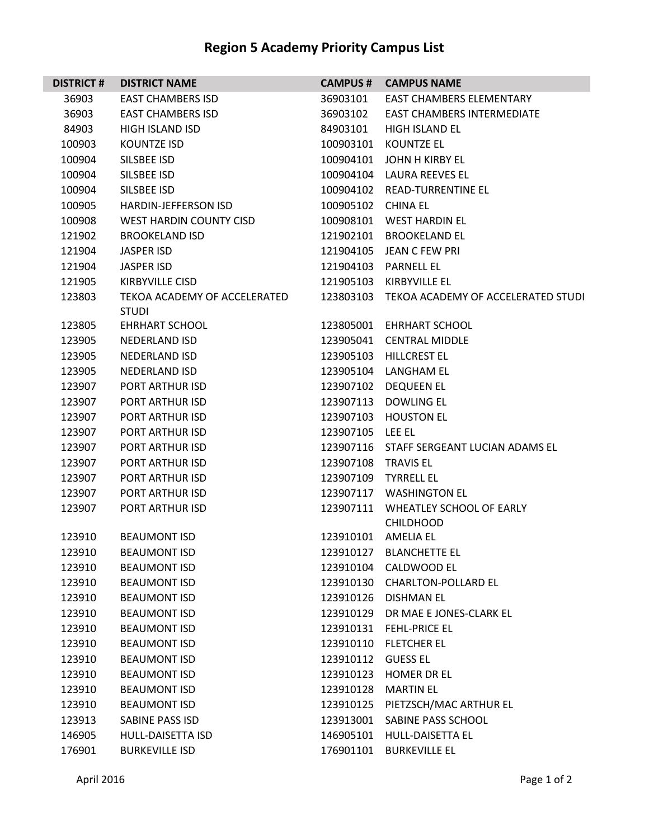## **Region 5 Academy Priority Campus List**

| <b>DISTRICT#</b> | <b>DISTRICT NAME</b>                         | <b>CAMPUS#</b>      | <b>CAMPUS NAME</b>                           |
|------------------|----------------------------------------------|---------------------|----------------------------------------------|
| 36903            | <b>EAST CHAMBERS ISD</b>                     | 36903101            | <b>EAST CHAMBERS ELEMENTARY</b>              |
| 36903            | <b>EAST CHAMBERS ISD</b>                     | 36903102            | <b>EAST CHAMBERS INTERMEDIATE</b>            |
| 84903            | <b>HIGH ISLAND ISD</b>                       | 84903101            | <b>HIGH ISLAND EL</b>                        |
| 100903           | <b>KOUNTZE ISD</b>                           | 100903101           | <b>KOUNTZE EL</b>                            |
| 100904           | SILSBEE ISD                                  |                     | 100904101 JOHN H KIRBY EL                    |
| 100904           | SILSBEE ISD                                  |                     | 100904104 LAURA REEVES EL                    |
| 100904           | SILSBEE ISD                                  | 100904102           | <b>READ-TURRENTINE EL</b>                    |
| 100905           | <b>HARDIN-JEFFERSON ISD</b>                  | 100905102 CHINA EL  |                                              |
| 100908           | WEST HARDIN COUNTY CISD                      | 100908101           | <b>WEST HARDIN EL</b>                        |
| 121902           | <b>BROOKELAND ISD</b>                        |                     | 121902101 BROOKELAND EL                      |
| 121904           | <b>JASPER ISD</b>                            |                     | 121904105 JEAN C FEW PRI                     |
| 121904           | <b>JASPER ISD</b>                            | 121904103           | <b>PARNELL EL</b>                            |
| 121905           | <b>KIRBYVILLE CISD</b>                       | 121905103           | KIRBYVILLF FL                                |
| 123803           | TEKOA ACADEMY OF ACCELERATED<br><b>STUDI</b> | 123803103           | TEKOA ACADEMY OF ACCELERATED STUDI           |
| 123805           | <b>EHRHART SCHOOL</b>                        |                     | 123805001 EHRHART SCHOOL                     |
| 123905           | <b>NEDERLAND ISD</b>                         | 123905041           | <b>CENTRAL MIDDLE</b>                        |
| 123905           | <b>NEDERLAND ISD</b>                         | 123905103           | <b>HILLCREST EL</b>                          |
| 123905           | <b>NEDERLAND ISD</b>                         |                     | 123905104 LANGHAM EL                         |
| 123907           | PORT ARTHUR ISD                              | 123907102           | <b>DEQUEEN EL</b>                            |
| 123907           | PORT ARTHUR ISD                              | 123907113           | <b>DOWLING EL</b>                            |
| 123907           | PORT ARTHUR ISD                              | 123907103           | <b>HOUSTON EL</b>                            |
| 123907           | PORT ARTHUR ISD                              | 123907105           | LEE EL                                       |
| 123907           | PORT ARTHUR ISD                              |                     | 123907116 STAFF SERGEANT LUCIAN ADAMS EL     |
| 123907           | PORT ARTHUR ISD                              | 123907108 TRAVIS EL |                                              |
| 123907           | PORT ARTHUR ISD                              |                     | 123907109 TYRRELL EL                         |
| 123907           | PORT ARTHUR ISD                              | 123907117           | <b>WASHINGTON EL</b>                         |
| 123907           | PORT ARTHUR ISD                              | 123907111           | WHEATLEY SCHOOL OF EARLY<br><b>CHILDHOOD</b> |
| 123910           | <b>BEAUMONT ISD</b>                          | 123910101 AMELIA EL |                                              |
| 123910           | <b>BEAUMONT ISD</b>                          | 123910127           | <b>BLANCHETTE EL</b>                         |
| 123910           | <b>BEAUMONT ISD</b>                          | 123910104           | CALDWOOD EL                                  |
| 123910           | <b>BEAUMONT ISD</b>                          | 123910130           | <b>CHARLTON-POLLARD EL</b>                   |
| 123910           | <b>BEAUMONT ISD</b>                          | 123910126           | <b>DISHMAN EL</b>                            |
| 123910           | <b>BEAUMONT ISD</b>                          |                     | 123910129 DR MAE E JONES-CLARK EL            |
| 123910           | <b>BEAUMONT ISD</b>                          | 123910131           | <b>FEHL-PRICE EL</b>                         |
| 123910           | <b>BEAUMONT ISD</b>                          | 123910110           | <b>FLETCHER EL</b>                           |
| 123910           | <b>BEAUMONT ISD</b>                          | 123910112           | <b>GUESS EL</b>                              |
| 123910           | <b>BEAUMONT ISD</b>                          | 123910123           | <b>HOMER DR EL</b>                           |
| 123910           | <b>BEAUMONT ISD</b>                          | 123910128           | <b>MARTIN EL</b>                             |
| 123910           | <b>BEAUMONT ISD</b>                          | 123910125           | PIETZSCH/MAC ARTHUR EL                       |
| 123913           | SABINE PASS ISD                              | 123913001           | SABINE PASS SCHOOL                           |
| 146905           | <b>HULL-DAISETTA ISD</b>                     | 146905101           | HULL-DAISETTA EL                             |
| 176901           | <b>BURKEVILLE ISD</b>                        | 176901101           | <b>BURKEVILLE EL</b>                         |